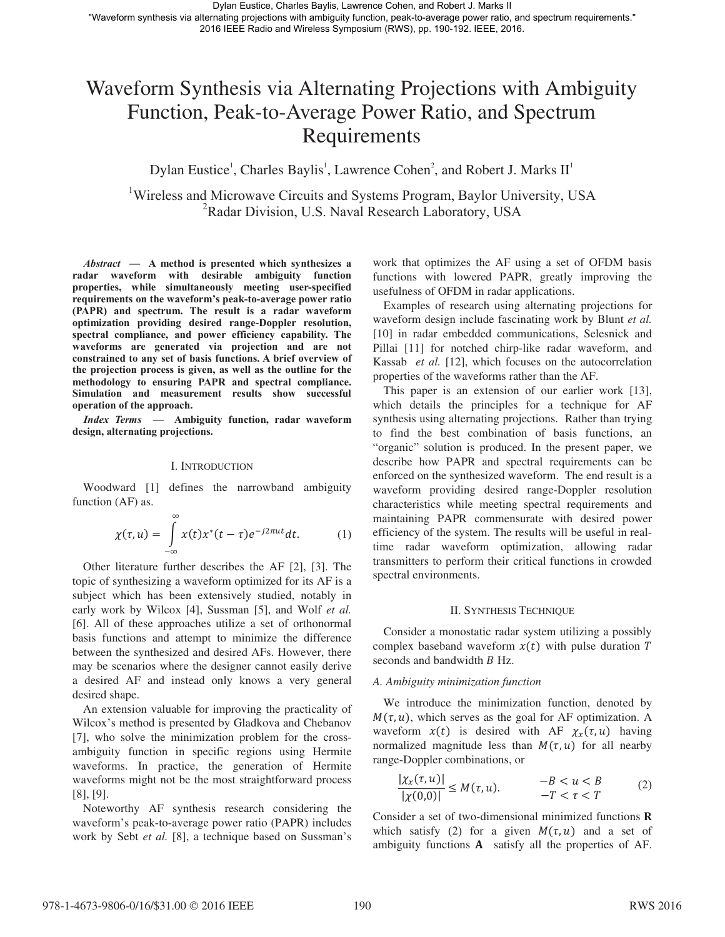# Waveform Synthesis via Alternating Projections with Ambiguity Function, Peak-to-Average Power Ratio, and Spectrum Requirements

Dylan Eustice<sup>1</sup>, Charles Baylis<sup>1</sup>, Lawrence Cohen<sup>2</sup>, and Robert J. Marks  $II<sup>1</sup>$ 

<sup>1</sup>Wireless and Microwave Circuits and Systems Program, Baylor University, USA <sup>2</sup>Radar Division, U.S. Naval Research Laboratory, USA

*Abstract* **— A method is presented which synthesizes a radar waveform with desirable ambiguity function properties, while simultaneously meeting user-specified requirements on the waveform's peak-to-average power ratio (PAPR) and spectrum. The result is a radar waveform optimization providing desired range-Doppler resolution, spectral compliance, and power efficiency capability. The waveforms are generated via projection and are not constrained to any set of basis functions. A brief overview of the projection process is given, as well as the outline for the methodology to ensuring PAPR and spectral compliance. Simulation and measurement results show successful operation of the approach.** 

*Index Terms* **— Ambiguity function, radar waveform design, alternating projections.**

# I. INTRODUCTION

Woodward [1] defines the narrowband ambiguity function (AF) as.

$$
\chi(\tau, u) = \int_{-\infty}^{\infty} x(t) x^*(t - \tau) e^{-j2\pi ut} dt.
$$
 (1)

Other literature further describes the AF [2], [3]. The topic of synthesizing a waveform optimized for its AF is a subject which has been extensively studied, notably in early work by Wilcox [4], Sussman [5], and Wolf *et al.* [6]. All of these approaches utilize a set of orthonormal basis functions and attempt to minimize the difference between the synthesized and desired AFs. However, there may be scenarios where the designer cannot easily derive a desired AF and instead only knows a very general desired shape.

An extension valuable for improving the practicality of Wilcox's method is presented by Gladkova and Chebanov [7], who solve the minimization problem for the crossambiguity function in specific regions using Hermite waveforms. In practice, the generation of Hermite waveforms might not be the most straightforward process [8], [9].

Noteworthy AF synthesis research considering the waveform's peak-to-average power ratio (PAPR) includes work by Sebt *et al.* [8], a technique based on Sussman's

work that optimizes the AF using a set of OFDM basis functions with lowered PAPR, greatly improving the usefulness of OFDM in radar applications.

Examples of research using alternating projections for waveform design include fascinating work by Blunt *et al.*  [10] in radar embedded communications, Selesnick and Pillai [11] for notched chirp-like radar waveform, and Kassab *et al.* [12], which focuses on the autocorrelation properties of the waveforms rather than the AF.

This paper is an extension of our earlier work [13], which details the principles for a technique for AF synthesis using alternating projections. Rather than trying to find the best combination of basis functions, an "organic" solution is produced. In the present paper, we describe how PAPR and spectral requirements can be enforced on the synthesized waveform. The end result is a waveform providing desired range-Doppler resolution characteristics while meeting spectral requirements and maintaining PAPR commensurate with desired power efficiency of the system. The results will be useful in realtime radar waveform optimization, allowing radar transmitters to perform their critical functions in crowded spectral environments.

#### II. SYNTHESIS TECHNIQUE

Consider a monostatic radar system utilizing a possibly complex baseband waveform  $x(t)$  with pulse duration T seconds and bandwidth B Hz.

# *A. Ambiguity minimization function*

We introduce the minimization function, denoted by  $M(\tau, u)$ , which serves as the goal for AF optimization. A waveform  $x(t)$  is desired with AF  $\chi_x(\tau, u)$  having normalized magnitude less than  $M(\tau, u)$  for all nearby range-Doppler combinations, or

$$
\frac{|\chi_x(\tau, u)|}{|\chi(0, 0)|} \le M(\tau, u). \qquad -B < u < B \qquad (2)
$$
\n
$$
-T < \tau < T
$$

Consider a set of two-dimensional minimized functions **R** which satisfy (2) for a given  $M(\tau, u)$  and a set of ambiguity functions  $A$  satisfy all the properties of  $AF$ .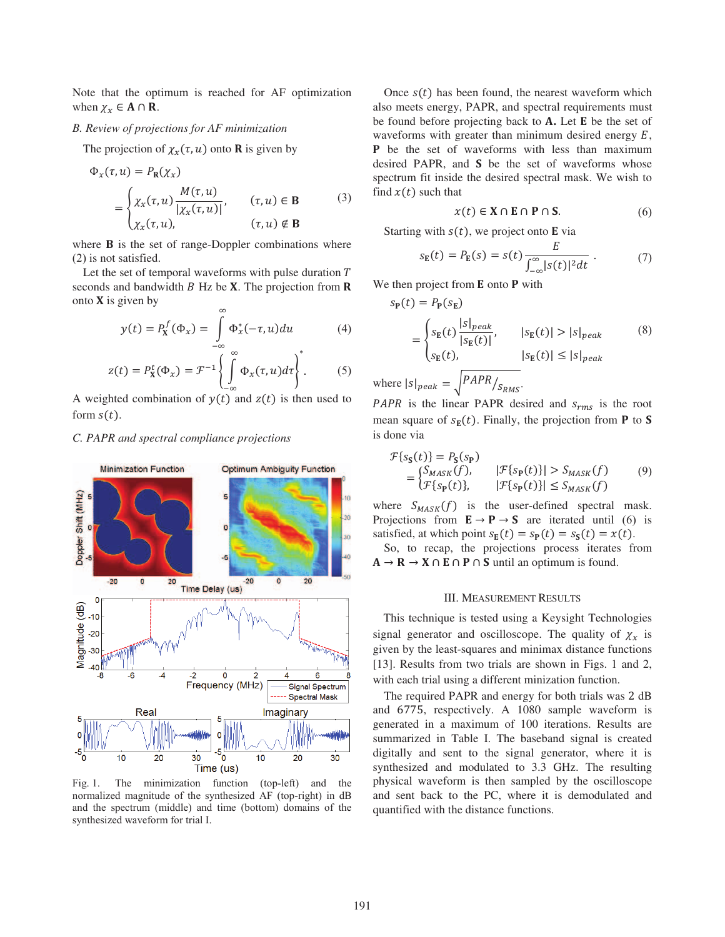Note that the optimum is reached for AF optimization when  $\chi_x \in A \cap R$ .

# *B. Review of projections for AF minimization*

The projection of  $\chi_x(\tau, u)$  onto **R** is given by

$$
\Phi_x(\tau, u) = P_{\mathbf{R}}(\chi_x)
$$
\n
$$
= \begin{cases}\n\chi_x(\tau, u) \frac{M(\tau, u)}{|\chi_x(\tau, u)|}, & (\tau, u) \in \mathbf{B} \\
\chi_x(\tau, u), & (\tau, u) \notin \mathbf{B}\n\end{cases}
$$
\n(3)

where  $\bf{B}$  is the set of range-Doppler combinations where (2) is not satisfied.

Let the set of temporal waveforms with pulse duration  $T$ seconds and bandwidth  $B$  Hz be  $X$ . The projection from  $R$ onto  $X$  is given by

$$
y(t) = P_X^f(\Phi_x) = \int_{-\infty}^{\infty} \Phi_x^*(-\tau, u) du \tag{4}
$$

$$
z(t) = P_{\mathbf{X}}^{t}(\Phi_{x}) = \mathcal{F}^{-1}\left\{\int_{-\infty}^{\infty} \Phi_{x}(\tau, u)d\tau\right\}^{*}.
$$
 (5)

A weighted combination of  $y(t)$  and  $z(t)$  is then used to form  $s(t)$ .

# *C. PAPR and spectral compliance projections*



Fig. 1. The minimization function (top-left) and the normalized magnitude of the synthesized AF (top-right) in dB and the spectrum (middle) and time (bottom) domains of the synthesized waveform for trial I.

Once  $s(t)$  has been found, the nearest waveform which also meets energy, PAPR, and spectral requirements must be found before projecting back to **A.** Let **E** be the set of waveforms with greater than minimum desired energy  $E$ , **P** be the set of waveforms with less than maximum desired PAPR, and S be the set of waveforms whose spectrum fit inside the desired spectral mask. We wish to find  $x(t)$  such that

$$
x(t) \in \mathbf{X} \cap \mathbf{E} \cap \mathbf{P} \cap \mathbf{S}.\tag{6}
$$

Starting with  $s(t)$ , we project onto **E** via

$$
s_{\mathbf{E}}(t) = P_{\mathbf{E}}(s) = s(t) \frac{E}{\int_{-\infty}^{\infty} |s(t)|^2 dt} . \tag{7}
$$

We then project from  $E$  onto  $P$  with

$$
s_{\mathbf{P}}(t) = P_{\mathbf{P}}(s_{\mathbf{E}})
$$
  
= 
$$
\begin{cases} s_{\mathbf{E}}(t) \frac{|s|_{peak}}{|s_{\mathbf{E}}(t)|}, & |s_{\mathbf{E}}(t)| > |s|_{peak} \\ s_{\mathbf{E}}(t), & |s_{\mathbf{E}}(t)| \le |s|_{peak} \end{cases}
$$
 (8)

where 
$$
|s|_{peak} = \sqrt{PAPR/S_{RMS}}
$$
.

PAPR is the linear PAPR desired and  $s_{rms}$  is the root mean square of  $s_{\mathbf{E}}(t)$ . Finally, the projection from **P** to **S** is done via

$$
\mathcal{F}\{s_{\mathbf{S}}(t)\} = P_{\mathbf{S}}(s_{\mathbf{P}})
$$
\n
$$
= \begin{cases}\nS_{MASK}(f), & |\mathcal{F}\{s_{\mathbf{P}}(t)\}| > S_{MASK}(f) \\
\mathcal{F}\{s_{\mathbf{P}}(t)\}, & |\mathcal{F}\{s_{\mathbf{P}}(t)\}| \leq S_{MASK}(f)\n\end{cases} \tag{9}
$$

where  $S_{MASK}(f)$  is the user-defined spectral mask. Projections from  $\mathbf{E} \to \mathbf{P} \to \mathbf{S}$  are iterated until (6) is satisfied, at which point  $s_F(t) = s_P(t) = s_S(t) = x(t)$ .

So, to recap, the projections process iterates from  $A \rightarrow R \rightarrow X \cap E \cap P \cap S$  until an optimum is found.

#### III. MEASUREMENT RESULTS

This technique is tested using a Keysight Technologies signal generator and oscilloscope. The quality of  $\chi_x$  is given by the least-squares and minimax distance functions [13]. Results from two trials are shown in Figs. 1 and 2, with each trial using a different minization function.

The required PAPR and energy for both trials was 2 dB and 6775, respectively. A 1080 sample waveform is generated in a maximum of 100 iterations. Results are summarized in Table I. The baseband signal is created digitally and sent to the signal generator, where it is synthesized and modulated to 3.3 GHz. The resulting physical waveform is then sampled by the oscilloscope and sent back to the PC, where it is demodulated and quantified with the distance functions.